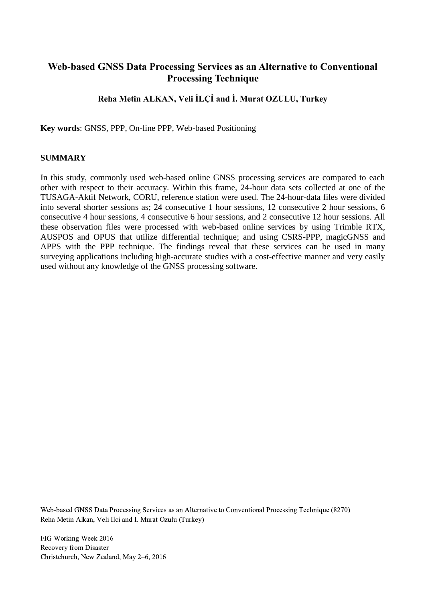# **Web-based GNSS Data Processing Services as an Alternative to Conventional Processing Technique**

## **Reha Metin ALKAN, Veli İLÇİ and İ. Murat OZULU, Turkey**

**Key words**: GNSS, PPP, On-line PPP, Web-based Positioning

#### **SUMMARY**

In this study, commonly used web-based online GNSS processing services are compared to each other with respect to their accuracy. Within this frame, 24-hour data sets collected at one of the TUSAGA-Aktif Network, CORU, reference station were used. The 24-hour-data files were divided into several shorter sessions as; 24 consecutive 1 hour sessions, 12 consecutive 2 hour sessions, 6 consecutive 4 hour sessions, 4 consecutive 6 hour sessions, and 2 consecutive 12 hour sessions. All these observation files were processed with web-based online services by using Trimble RTX, AUSPOS and OPUS that utilize differential technique; and using CSRS-PPP, magicGNSS and APPS with the PPP technique. The findings reveal that these services can be used in many surveying applications including high-accurate studies with a cost-effective manner and very easily used without any knowledge of the GNSS processing software.

Web-based GNSS Data Processing Services as an Alternative to Conventional Processing Technique (8270) Reha Metin Alkan, Veli Ilci and I. Murat Ozulu (Turkey)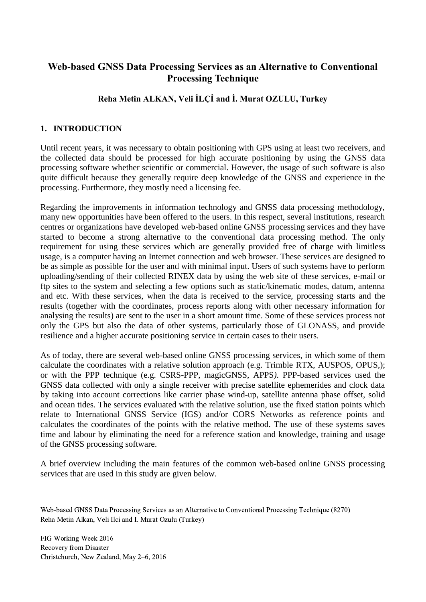# **Web-based GNSS Data Processing Services as an Alternative to Conventional Processing Technique**

# **Reha Metin ALKAN, Veli İLÇİ and İ. Murat OZULU, Turkey**

### **1. INTRODUCTION**

Until recent years, it was necessary to obtain positioning with GPS using at least two receivers, and the collected data should be processed for high accurate positioning by using the GNSS data processing software whether scientific or commercial. However, the usage of such software is also quite difficult because they generally require deep knowledge of the GNSS and experience in the processing. Furthermore, they mostly need a licensing fee.

Regarding the improvements in information technology and GNSS data processing methodology, many new opportunities have been offered to the users. In this respect, several institutions, research centres or organizations have developed web-based online GNSS processing services and they have started to become a strong alternative to the conventional data processing method. The only requirement for using these services which are generally provided free of charge with limitless usage, is a computer having an Internet connection and web browser. These services are designed to be as simple as possible for the user and with minimal input. Users of such systems have to perform uploading/sending of their collected RINEX data by using the web site of these services, e-mail or ftp sites to the system and selecting a few options such as static/kinematic modes, datum, antenna and etc. With these services, when the data is received to the service, processing starts and the results (together with the coordinates, process reports along with other necessary information for analysing the results) are sent to the user in a short amount time. Some of these services process not only the GPS but also the data of other systems, particularly those of GLONASS, and provide resilience and a higher accurate positioning service in certain cases to their users.

As of today, there are several web-based online GNSS processing services, in which some of them calculate the coordinates with a relative solution approach (e.g. Trimble RTX, AUSPOS, OPUS,); or with the PPP technique (e.g. CSRS-PPP, magicGNSS, APPS*)*. PPP-based services used the GNSS data collected with only a single receiver with precise satellite ephemerides and clock data by taking into account corrections like carrier phase wind-up, satellite antenna phase offset, solid and ocean tides. The services evaluated with the relative solution, use the fixed station points which relate to International GNSS Service (IGS) and/or CORS Networks as reference points and calculates the coordinates of the points with the relative method. The use of these systems saves time and labour by eliminating the need for a reference station and knowledge, training and usage of the GNSS processing software.

A brief overview including the main features of the common web-based online GNSS processing services that are used in this study are given below.

Web-based GNSS Data Processing Services as an Alternative to Conventional Processing Technique (8270) Reha Metin Alkan, Veli Ilci and I. Murat Ozulu (Turkey)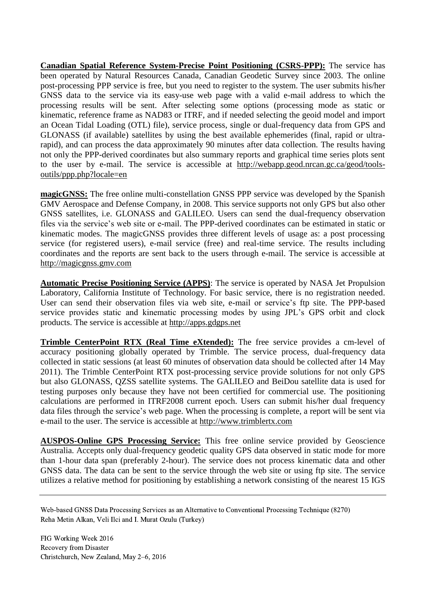**Canadian Spatial Reference System-Precise Point Positioning (CSRS-PPP):** The service has been operated by Natural Resources Canada, Canadian Geodetic Survey since 2003. The online post-processing PPP service is free, but you need to register to the system. The user submits his/her GNSS data to the service via its easy-use web page with a valid e-mail address to which the processing results will be sent. After selecting some options (processing mode as static or kinematic, reference frame as NAD83 or ITRF, and if needed selecting the geoid model and import an Ocean Tidal Loading (OTL) file), service process, single or dual-frequency data from GPS and GLONASS (if available) satellites by using the best available ephemerides (final, rapid or ultrarapid), and can process the data approximately 90 minutes after data collection. The results having not only the PPP-derived coordinates but also summary reports and graphical time series plots sent to the user by e-mail. The service is accessible at [http://webapp.geod.nrcan.gc.ca/geod/tools](http://webapp.geod.nrcan.gc.ca/geod/tools-outils/ppp.php?locale=en)[outils/ppp.php?locale=en](http://webapp.geod.nrcan.gc.ca/geod/tools-outils/ppp.php?locale=en)

**magicGNSS:** The free online multi-constellation GNSS PPP service was developed by the Spanish GMV Aerospace and Defense Company, in 2008. This service supports not only GPS but also other GNSS satellites, i.e. GLONASS and GALILEO. Users can send the dual-frequency observation files via the service's web site or e-mail. The PPP-derived coordinates can be estimated in static or kinematic modes. The magicGNSS provides three different levels of usage as: a post processing service (for registered users), e-mail service (free) and real-time service. The results including coordinates and the reports are sent back to the users through e-mail. The service is accessible at [http://magicgnss.gmv.com](http://magicgnss.gmv.com/)

**Automatic Precise Positioning Service (APPS)**: The service is operated by NASA Jet Propulsion Laboratory, California Institute of Technology. For basic service, there is no registration needed. User can send their observation files via web site, e-mail or service's ftp site. The PPP-based service provides static and kinematic processing modes by using JPL's GPS orbit and clock products. The service is accessible at [http://apps.gdgps.net](http://apps.gdgps.net/)

**Trimble CenterPoint RTX (Real Time eXtended):** The free service provides a cm-level of accuracy positioning globally operated by Trimble. The service process, dual-frequency data collected in static sessions (at least 60 minutes of observation data should be collected after 14 May 2011). The Trimble CenterPoint RTX post-processing service provide solutions for not only GPS but also GLONASS, QZSS satellite systems. The GALILEO and BeiDou satellite data is used for testing purposes only because they have not been certified for commercial use. The positioning calculations are performed in ITRF2008 current epoch. Users can submit his/her dual frequency data files through the service's web page. When the processing is complete, a report will be sent via e-mail to the user. The service is accessible at [http://www.trimblertx.com](http://www.trimblertx.com/)

**AUSPOS-Online GPS Processing Service:** This free online service provided by Geoscience Australia. Accepts only dual-frequency geodetic quality GPS data observed in static mode for more than 1-hour data span (preferably 2-hour). The service does not process kinematic data and other GNSS data. The data can be sent to the service through the web site or using ftp site. The service utilizes a relative method for positioning by establishing a network consisting of the nearest 15 IGS

Web-based GNSS Data Processing Services as an Alternative to Conventional Processing Technique (8270) Reha Metin Alkan, Veli Ilci and I. Murat Ozulu (Turkey)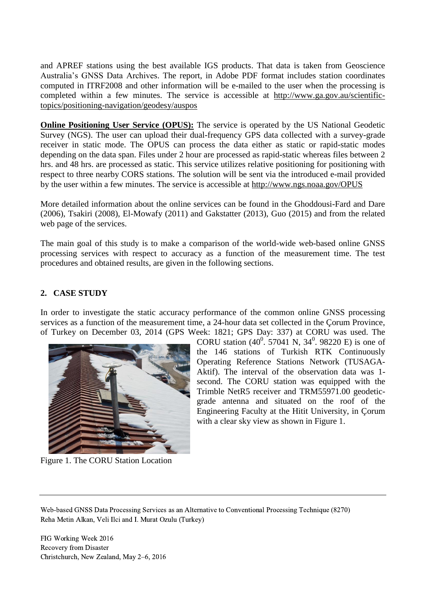and APREF stations using the best available IGS products. That data is taken from Geoscience Australia's GNSS Data Archives. The report, in Adobe PDF format includes station coordinates computed in ITRF2008 and other information will be e-mailed to the user when the processing is completed within a few minutes. The service is accessible at [http://www.ga.gov.au/scientific](http://www.ga.gov.au/scientific-topics/positioning-navigation/geodesy/auspos)[topics/positioning-navigation/geodesy/auspos](http://www.ga.gov.au/scientific-topics/positioning-navigation/geodesy/auspos)

**Online Positioning User Service (OPUS):** The service is operated by the US National Geodetic Survey (NGS). The user can upload their dual-frequency GPS data collected with a survey-grade receiver in static mode. The OPUS can process the data either as static or rapid-static modes depending on the data span. Files under 2 hour are processed as rapid-static whereas files between 2 hrs. and 48 hrs. are processed as static. This service utilizes relative positioning for positioning with respect to three nearby CORS stations. The solution will be sent via the introduced e-mail provided by the user within a few minutes. The service is accessible at<http://www.ngs.noaa.gov/OPUS>

More detailed information about the online services can be found in the Ghoddousi-Fard and Dare (2006), Tsakiri (2008), El-Mowafy (2011) and Gakstatter (2013), Guo (2015) and from the related web page of the services.

The main goal of this study is to make a comparison of the world-wide web-based online GNSS processing services with respect to accuracy as a function of the measurement time. The test procedures and obtained results, are given in the following sections.

## **2. CASE STUDY**

In order to investigate the static accuracy performance of the common online GNSS processing services as a function of the measurement time, a 24-hour data set collected in the Çorum Province, of Turkey on December 03, 2014 (GPS Week: 1821; GPS Day: 337) at CORU was used. The



Figure 1. The CORU Station Location

CORU station  $(40^0, 57041 \text{ N}, 34^0, 98220 \text{ E})$  is one of the 146 stations of Turkish RTK Continuously Operating Reference Stations Network (TUSAGA-Aktif). The interval of the observation data was 1 second. The CORU station was equipped with the Trimble NetR5 receiver and TRM55971.00 geodeticgrade antenna and situated on the roof of the Engineering Faculty at the Hitit University, in Çorum with a clear sky view as shown in Figure 1.

Web-based GNSS Data Processing Services as an Alternative to Conventional Processing Technique (8270) Reha Metin Alkan, Veli Ilci and I. Murat Ozulu (Turkey)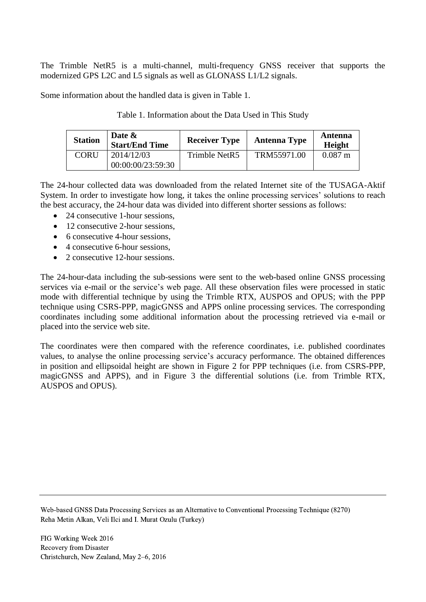The Trimble NetR5 is a multi-channel, multi-frequency GNSS receiver that supports the modernized GPS L2C and L5 signals as well as GLONASS L1/L2 signals.

Some information about the handled data is given in Table 1.

| <b>Station</b> | Date &<br><b>Start/End Time</b> | <b>Receiver Type</b> | <b>Antenna Type</b> | Antenna<br><b>Height</b> |
|----------------|---------------------------------|----------------------|---------------------|--------------------------|
| <b>CORU</b>    | 2014/12/03<br>00:00:00/23:59:30 | Trimble NetR5        | TRM55971.00         | $0.087 \text{ m}$        |

Table 1. Information about the Data Used in This Study

The 24-hour collected data was downloaded from the related Internet site of the TUSAGA-Aktif System. In order to investigate how long, it takes the online processing services' solutions to reach the best accuracy, the 24-hour data was divided into different shorter sessions as follows:

- 24 consecutive 1-hour sessions,
- 12 consecutive 2-hour sessions.
- 6 consecutive 4-hour sessions.
- $\bullet$  4 consecutive 6-hour sessions.
- 2 consecutive 12-hour sessions.

The 24-hour-data including the sub-sessions were sent to the web-based online GNSS processing services via e-mail or the service's web page. All these observation files were processed in static mode with differential technique by using the Trimble RTX, AUSPOS and OPUS; with the PPP technique using CSRS-PPP, magicGNSS and APPS online processing services. The corresponding coordinates including some additional information about the processing retrieved via e-mail or placed into the service web site.

The coordinates were then compared with the reference coordinates, i.e. published coordinates values, to analyse the online processing service's accuracy performance. The obtained differences in position and ellipsoidal height are shown in Figure 2 for PPP techniques (i.e. from CSRS-PPP, magicGNSS and APPS), and in Figure 3 the differential solutions (i.e. from Trimble RTX, AUSPOS and OPUS).

Web-based GNSS Data Processing Services as an Alternative to Conventional Processing Technique (8270) Reha Metin Alkan, Veli Ilci and I. Murat Ozulu (Turkey)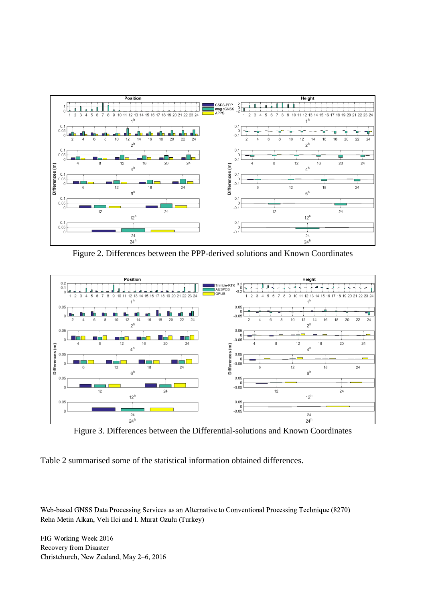

Figure 2. Differences between the PPP-derived solutions and Known Coordinates



Figure 3. Differences between the Differential-solutions and Known Coordinates

Table 2 summarised some of the statistical information obtained differences.

Web-based GNSS Data Processing Services as an Alternative to Conventional Processing Technique (8270) Reha Metin Alkan, Veli Ilci and I. Murat Ozulu (Turkey)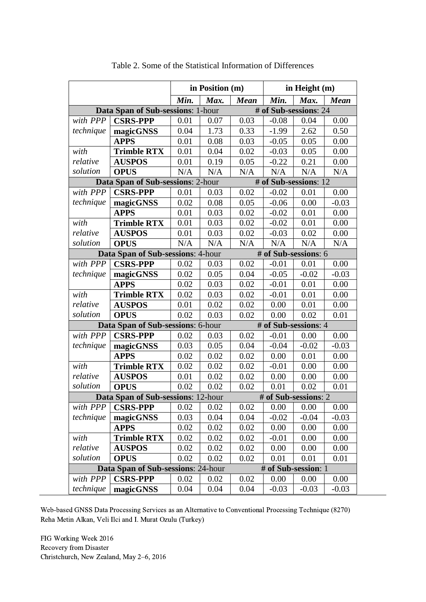|                                                            |                                                           | in Position (m) |      | in Height $(m)$ |         |                      |             |  |
|------------------------------------------------------------|-----------------------------------------------------------|-----------------|------|-----------------|---------|----------------------|-------------|--|
|                                                            |                                                           | Min.            | Max. | <b>Mean</b>     | Min.    | Max.                 | <b>Mean</b> |  |
| # of Sub-sessions: 24<br>Data Span of Sub-sessions: 1-hour |                                                           |                 |      |                 |         |                      |             |  |
| with PPP                                                   | <b>CSRS-PPP</b>                                           | 0.01            | 0.07 | 0.03            | $-0.08$ | 0.04                 | 0.00        |  |
| technique                                                  | magicGNSS                                                 | 0.04            | 1.73 | 0.33            | $-1.99$ | 2.62                 | 0.50        |  |
|                                                            | <b>APPS</b>                                               | 0.01            | 0.08 | 0.03            | $-0.05$ | 0.05                 | 0.00        |  |
| with                                                       | <b>Trimble RTX</b>                                        | 0.01            | 0.04 | 0.02            | $-0.03$ | 0.05                 | 0.00        |  |
| relative                                                   | <b>AUSPOS</b>                                             | 0.01            | 0.19 | 0.05            | $-0.22$ | 0.21                 | 0.00        |  |
| solution                                                   | <b>OPUS</b>                                               | N/A             | N/A  | N/A             | N/A     | N/A                  | N/A         |  |
| Data Span of Sub-sessions: 2-hour<br># of Sub-sessions: 12 |                                                           |                 |      |                 |         |                      |             |  |
| with PPP                                                   | <b>CSRS-PPP</b>                                           | 0.01            | 0.03 | 0.02            | $-0.02$ | 0.01                 | 0.00        |  |
| technique                                                  | magicGNSS                                                 | 0.02            | 0.08 | 0.05            | $-0.06$ | 0.00                 | $-0.03$     |  |
|                                                            | <b>APPS</b>                                               | 0.01            | 0.03 | 0.02            | $-0.02$ | 0.01                 | 0.00        |  |
| with                                                       | <b>Trimble RTX</b>                                        | 0.01            | 0.03 | 0.02            | $-0.02$ | 0.01                 | 0.00        |  |
| relative                                                   | <b>AUSPOS</b>                                             | 0.01            | 0.03 | 0.02            | $-0.03$ | 0.02                 | 0.00        |  |
| solution                                                   | <b>OPUS</b>                                               | N/A             | N/A  | N/A             | N/A     | N/A                  | N/A         |  |
| # of Sub-sessions: 6<br>Data Span of Sub-sessions: 4-hour  |                                                           |                 |      |                 |         |                      |             |  |
| with PPP                                                   | <b>CSRS-PPP</b>                                           | 0.02            | 0.03 | 0.02            | $-0.01$ | 0.01                 | 0.00        |  |
| technique                                                  | magicGNSS                                                 | 0.02            | 0.05 | 0.04            | $-0.05$ | $-0.02$              | $-0.03$     |  |
|                                                            | <b>APPS</b>                                               | 0.02            | 0.03 | 0.02            | $-0.01$ | 0.01                 | 0.00        |  |
| with                                                       | <b>Trimble RTX</b>                                        | 0.02            | 0.03 | 0.02            | $-0.01$ | 0.01                 | 0.00        |  |
| relative                                                   | <b>AUSPOS</b>                                             | 0.01            | 0.02 | 0.02            | 0.00    | 0.01                 | 0.00        |  |
| solution                                                   | <b>OPUS</b>                                               | 0.02            | 0.03 | 0.02            | 0.00    | 0.02                 | 0.01        |  |
|                                                            | Data Span of Sub-sessions: 6-hour<br># of Sub-sessions: 4 |                 |      |                 |         |                      |             |  |
| with PPP                                                   | <b>CSRS-PPP</b>                                           | 0.02            | 0.03 | 0.02            | $-0.01$ | 0.00                 | 0.00        |  |
| technique                                                  | magicGNSS                                                 | 0.03            | 0.05 | 0.04            | $-0.04$ | $-0.02$              | $-0.03$     |  |
|                                                            | <b>APPS</b>                                               | 0.02            | 0.02 | 0.02            | 0.00    | 0.01                 | 0.00        |  |
| with                                                       | <b>Trimble RTX</b>                                        | 0.02            | 0.02 | 0.02            | $-0.01$ | 0.00                 | 0.00        |  |
| relative                                                   | <b>AUSPOS</b>                                             | 0.01            | 0.02 | 0.02            | 0.00    | 0.00                 | 0.00        |  |
| solution                                                   | <b>OPUS</b>                                               | 0.02            | 0.02 | 0.02            | 0.01    | 0.02                 | 0.01        |  |
|                                                            | Data Span of Sub-sessions: 12-hour                        |                 |      |                 |         | # of Sub-sessions: 2 |             |  |
| with PPP                                                   | <b>CSRS-PPP</b>                                           | 0.02            | 0.02 | 0.02            | 0.00    | 0.00                 | 0.00        |  |
| technique                                                  | magicGNSS                                                 | 0.03            | 0.04 | 0.04            | $-0.02$ | $-0.04$              | $-0.03$     |  |
|                                                            | <b>APPS</b>                                               | 0.02            | 0.02 | 0.02            | 0.00    | 0.00                 | 0.00        |  |
| with                                                       | <b>Trimble RTX</b>                                        | 0.02            | 0.02 | 0.02            | $-0.01$ | 0.00                 | 0.00        |  |
| relative                                                   | <b>AUSPOS</b>                                             | 0.02            | 0.02 | 0.02            | 0.00    | 0.00                 | 0.00        |  |
| solution                                                   | <b>OPUS</b>                                               | 0.02            | 0.02 | 0.02            | 0.01    | 0.01                 | 0.01        |  |
| Data Span of Sub-sessions: 24-hour<br># of Sub-session: 1  |                                                           |                 |      |                 |         |                      |             |  |
| with PPP                                                   | <b>CSRS-PPP</b>                                           | 0.02            | 0.02 | 0.02            | 0.00    | 0.00                 | 0.00        |  |
| technique                                                  | magicGNSS                                                 | 0.04            | 0.04 | 0.04            | $-0.03$ | $-0.03$              | $-0.03$     |  |

Table 2. Some of the Statistical Information of Differences

Web-based GNSS Data Processing Services as an Alternative to Conventional Processing Technique (8270) Reha Metin Alkan, Veli Ilci and I. Murat Ozulu (Turkey)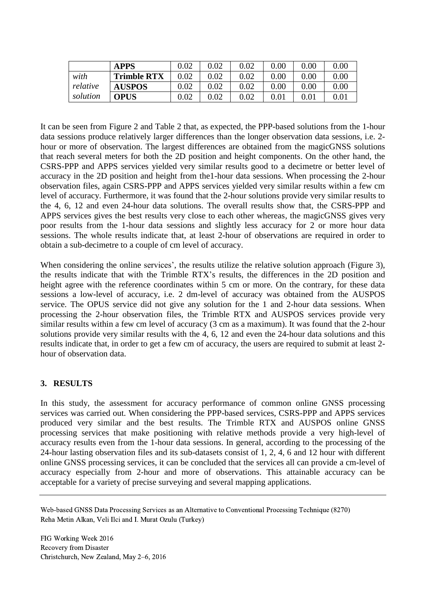|          | <b>APPS</b>        | 0.02 | $0.02\,$ | $0.02\,$ | $0.00\,$ | $0.00\,$ | 0.00     |
|----------|--------------------|------|----------|----------|----------|----------|----------|
| with     | <b>Trimble RTX</b> | 0.02 | $0.02\,$ | 0.02     | 0.00     | $0.00\,$ | $0.00\,$ |
| relative | <b>AUSPOS</b>      |      | $0.02\,$ | $0.02\,$ | 0.00     | $0.00\,$ | $0.00\,$ |
| solution | <b>OPUS</b>        |      | $0.02\,$ | 0.02     | $0.01\,$ | $0.01\,$ | $0.01\,$ |

It can be seen from Figure 2 and Table 2 that, as expected, the PPP-based solutions from the 1-hour data sessions produce relatively larger differences than the longer observation data sessions, i.e. 2 hour or more of observation. The largest differences are obtained from the magicGNSS solutions that reach several meters for both the 2D position and height components. On the other hand, the CSRS-PPP and APPS services yielded very similar results good to a decimetre or better level of accuracy in the 2D position and height from the1-hour data sessions. When processing the 2-hour observation files, again CSRS-PPP and APPS services yielded very similar results within a few cm level of accuracy. Furthermore, it was found that the 2-hour solutions provide very similar results to the 4, 6, 12 and even 24-hour data solutions. The overall results show that, the CSRS-PPP and APPS services gives the best results very close to each other whereas, the magicGNSS gives very poor results from the 1-hour data sessions and slightly less accuracy for 2 or more hour data sessions. The whole results indicate that, at least 2-hour of observations are required in order to obtain a sub-decimetre to a couple of cm level of accuracy.

When considering the online services', the results utilize the relative solution approach (Figure 3), the results indicate that with the Trimble RTX's results, the differences in the 2D position and height agree with the reference coordinates within 5 cm or more. On the contrary, for these data sessions a low-level of accuracy, i.e. 2 dm-level of accuracy was obtained from the AUSPOS service. The OPUS service did not give any solution for the 1 and 2-hour data sessions. When processing the 2-hour observation files, the Trimble RTX and AUSPOS services provide very similar results within a few cm level of accuracy (3 cm as a maximum). It was found that the 2-hour solutions provide very similar results with the 4, 6, 12 and even the 24-hour data solutions and this results indicate that, in order to get a few cm of accuracy, the users are required to submit at least 2 hour of observation data.

### **3. RESULTS**

In this study, the assessment for accuracy performance of common online GNSS processing services was carried out. When considering the PPP-based services, CSRS-PPP and APPS services produced very similar and the best results. The Trimble RTX and AUSPOS online GNSS processing services that make positioning with relative methods provide a very high-level of accuracy results even from the 1-hour data sessions. In general, according to the processing of the 24-hour lasting observation files and its sub-datasets consist of 1, 2, 4, 6 and 12 hour with different online GNSS processing services, it can be concluded that the services all can provide a cm-level of accuracy especially from 2-hour and more of observations. This attainable accuracy can be acceptable for a variety of precise surveying and several mapping applications.

Web-based GNSS Data Processing Services as an Alternative to Conventional Processing Technique (8270) Reha Metin Alkan, Veli Ilci and I. Murat Ozulu (Turkey)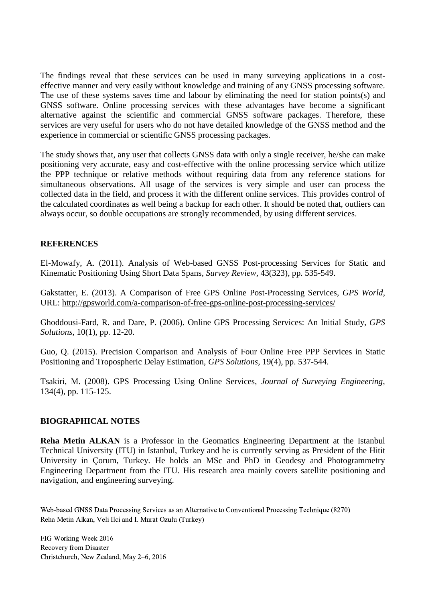The findings reveal that these services can be used in many surveying applications in a costeffective manner and very easily without knowledge and training of any GNSS processing software. The use of these systems saves time and labour by eliminating the need for station points(s) and GNSS software. Online processing services with these advantages have become a significant alternative against the scientific and commercial GNSS software packages. Therefore, these services are very useful for users who do not have detailed knowledge of the GNSS method and the experience in commercial or scientific GNSS processing packages.

The study shows that, any user that collects GNSS data with only a single receiver, he/she can make positioning very accurate, easy and cost-effective with the online processing service which utilize the PPP technique or relative methods without requiring data from any reference stations for simultaneous observations. All usage of the services is very simple and user can process the collected data in the field, and process it with the different online services. This provides control of the calculated coordinates as well being a backup for each other. It should be noted that, outliers can always occur, so double occupations are strongly recommended, by using different services.

#### **REFERENCES**

El-Mowafy, A. (2011). Analysis of Web-based GNSS Post-processing Services for Static and Kinematic Positioning Using Short Data Spans*, Survey Review*, 43(323), pp. 535-549.

Gakstatter, E. (2013). A Comparison of Free GPS Online Post-Processing Services, *GPS World*, URL:<http://gpsworld.com/a-comparison-of-free-gps-online-post-processing-services/>

Ghoddousi-Fard, R. and Dare, P. (2006). Online GPS Processing Services: An Initial Study*, GPS Solutions*, 10(1), pp. 12-20.

Gu[o,](mailto:qyguo@sdjzu.edu.cn) Q. (2015). Precision Comparison and Analysis of Four Online Free PPP Services in Static Positioning and Tropospheric Delay Estimation, *GPS Solutions*, 19(4), pp. 537-544.

Tsakiri, M. (2008). GPS Processing Using Online Services, *Journal of Surveying Engineering*, 134(4), pp. 115-125.

#### **BIOGRAPHICAL NOTES**

**Reha Metin ALKAN** is a Professor in the Geomatics Engineering Department at the Istanbul Technical University (ITU) in Istanbul, Turkey and he is currently serving as President of the Hitit University in Çorum, Turkey. He holds an MSc and PhD in Geodesy and Photogrammetry Engineering Department from the ITU. His research area mainly covers satellite positioning and navigation, and engineering surveying.

Web-based GNSS Data Processing Services as an Alternative to Conventional Processing Technique (8270) Reha Metin Alkan, Veli Ilci and I. Murat Ozulu (Turkey)